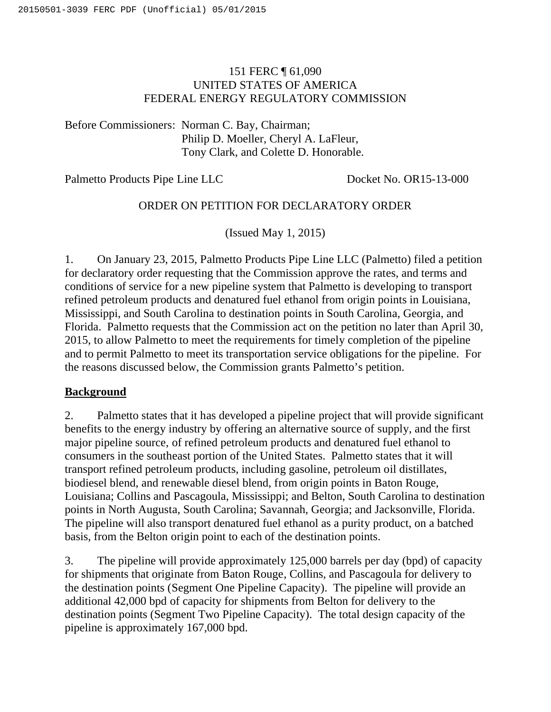# 151 FERC ¶ 61,090 UNITED STATES OF AMERICA FEDERAL ENERGY REGULATORY COMMISSION

Before Commissioners: Norman C. Bay, Chairman; Philip D. Moeller, Cheryl A. LaFleur, Tony Clark, and Colette D. Honorable.

Palmetto Products Pipe Line LLC Docket No. OR15-13-000

# ORDER ON PETITION FOR DECLARATORY ORDER

(Issued May 1, 2015)

1. On January 23, 2015, Palmetto Products Pipe Line LLC (Palmetto) filed a petition for declaratory order requesting that the Commission approve the rates, and terms and conditions of service for a new pipeline system that Palmetto is developing to transport refined petroleum products and denatured fuel ethanol from origin points in Louisiana, Mississippi, and South Carolina to destination points in South Carolina, Georgia, and Florida. Palmetto requests that the Commission act on the petition no later than April 30, 2015, to allow Palmetto to meet the requirements for timely completion of the pipeline and to permit Palmetto to meet its transportation service obligations for the pipeline. For the reasons discussed below, the Commission grants Palmetto's petition.

## **Background**

2. Palmetto states that it has developed a pipeline project that will provide significant benefits to the energy industry by offering an alternative source of supply, and the first major pipeline source, of refined petroleum products and denatured fuel ethanol to consumers in the southeast portion of the United States. Palmetto states that it will transport refined petroleum products, including gasoline, petroleum oil distillates, biodiesel blend, and renewable diesel blend, from origin points in Baton Rouge, Louisiana; Collins and Pascagoula, Mississippi; and Belton, South Carolina to destination points in North Augusta, South Carolina; Savannah, Georgia; and Jacksonville, Florida. The pipeline will also transport denatured fuel ethanol as a purity product, on a batched basis, from the Belton origin point to each of the destination points.

3. The pipeline will provide approximately 125,000 barrels per day (bpd) of capacity for shipments that originate from Baton Rouge, Collins, and Pascagoula for delivery to the destination points (Segment One Pipeline Capacity). The pipeline will provide an additional 42,000 bpd of capacity for shipments from Belton for delivery to the destination points (Segment Two Pipeline Capacity). The total design capacity of the pipeline is approximately 167,000 bpd.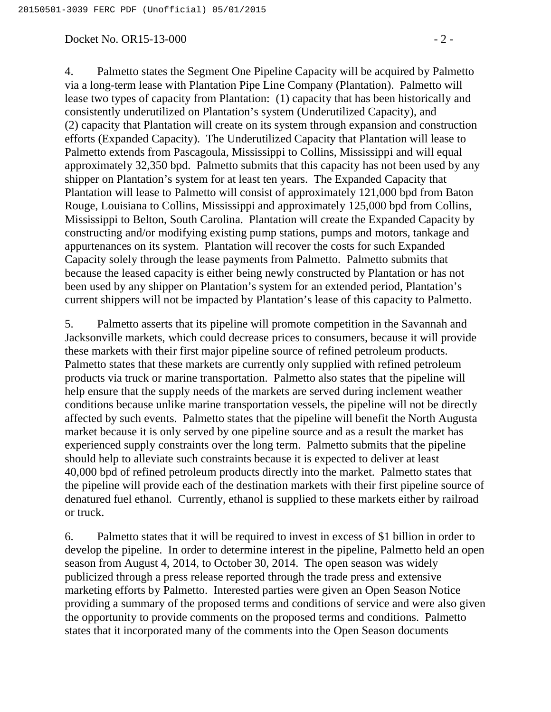#### Docket No. OR15-13-000 - 2 -

4. Palmetto states the Segment One Pipeline Capacity will be acquired by Palmetto via a long-term lease with Plantation Pipe Line Company (Plantation). Palmetto will lease two types of capacity from Plantation: (1) capacity that has been historically and consistently underutilized on Plantation's system (Underutilized Capacity), and (2) capacity that Plantation will create on its system through expansion and construction efforts (Expanded Capacity). The Underutilized Capacity that Plantation will lease to Palmetto extends from Pascagoula, Mississippi to Collins, Mississippi and will equal approximately 32,350 bpd. Palmetto submits that this capacity has not been used by any shipper on Plantation's system for at least ten years. The Expanded Capacity that Plantation will lease to Palmetto will consist of approximately 121,000 bpd from Baton Rouge, Louisiana to Collins, Mississippi and approximately 125,000 bpd from Collins, Mississippi to Belton, South Carolina. Plantation will create the Expanded Capacity by constructing and/or modifying existing pump stations, pumps and motors, tankage and appurtenances on its system. Plantation will recover the costs for such Expanded Capacity solely through the lease payments from Palmetto. Palmetto submits that because the leased capacity is either being newly constructed by Plantation or has not been used by any shipper on Plantation's system for an extended period, Plantation's current shippers will not be impacted by Plantation's lease of this capacity to Palmetto.

5. Palmetto asserts that its pipeline will promote competition in the Savannah and Jacksonville markets, which could decrease prices to consumers, because it will provide these markets with their first major pipeline source of refined petroleum products. Palmetto states that these markets are currently only supplied with refined petroleum products via truck or marine transportation. Palmetto also states that the pipeline will help ensure that the supply needs of the markets are served during inclement weather conditions because unlike marine transportation vessels, the pipeline will not be directly affected by such events. Palmetto states that the pipeline will benefit the North Augusta market because it is only served by one pipeline source and as a result the market has experienced supply constraints over the long term. Palmetto submits that the pipeline should help to alleviate such constraints because it is expected to deliver at least 40,000 bpd of refined petroleum products directly into the market. Palmetto states that the pipeline will provide each of the destination markets with their first pipeline source of denatured fuel ethanol. Currently, ethanol is supplied to these markets either by railroad or truck.

6. Palmetto states that it will be required to invest in excess of \$1 billion in order to develop the pipeline. In order to determine interest in the pipeline, Palmetto held an open season from August 4, 2014, to October 30, 2014. The open season was widely publicized through a press release reported through the trade press and extensive marketing efforts by Palmetto. Interested parties were given an Open Season Notice providing a summary of the proposed terms and conditions of service and were also given the opportunity to provide comments on the proposed terms and conditions. Palmetto states that it incorporated many of the comments into the Open Season documents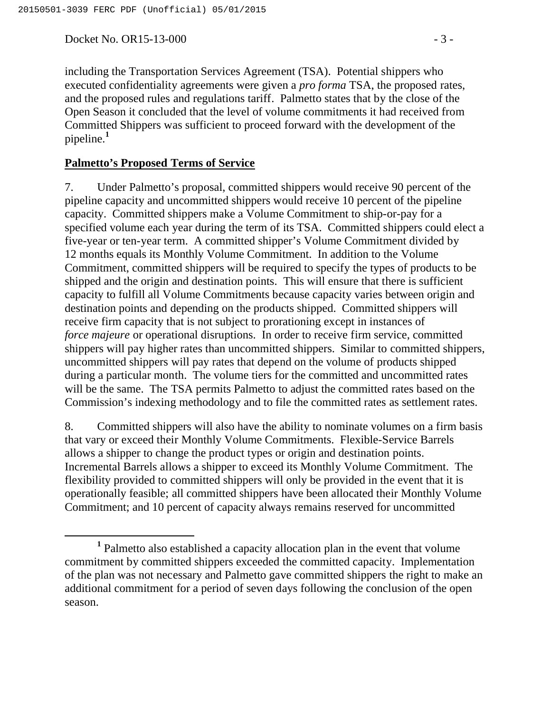Docket No. OR15-13-000 - 3 -

including the Transportation Services Agreement (TSA). Potential shippers who executed confidentiality agreements were given a *pro forma* TSA, the proposed rates, and the proposed rules and regulations tariff. Palmetto states that by the close of the Open Season it concluded that the level of volume commitments it had received from Committed Shippers was sufficient to proceed forward with the development of the pipeline.**<sup>1</sup>**

### **Palmetto's Proposed Terms of Service**

7. Under Palmetto's proposal, committed shippers would receive 90 percent of the pipeline capacity and uncommitted shippers would receive 10 percent of the pipeline capacity. Committed shippers make a Volume Commitment to ship-or-pay for a specified volume each year during the term of its TSA. Committed shippers could elect a five-year or ten-year term. A committed shipper's Volume Commitment divided by 12 months equals its Monthly Volume Commitment. In addition to the Volume Commitment, committed shippers will be required to specify the types of products to be shipped and the origin and destination points. This will ensure that there is sufficient capacity to fulfill all Volume Commitments because capacity varies between origin and destination points and depending on the products shipped. Committed shippers will receive firm capacity that is not subject to prorationing except in instances of *force majeure* or operational disruptions. In order to receive firm service, committed shippers will pay higher rates than uncommitted shippers. Similar to committed shippers, uncommitted shippers will pay rates that depend on the volume of products shipped during a particular month. The volume tiers for the committed and uncommitted rates will be the same. The TSA permits Palmetto to adjust the committed rates based on the Commission's indexing methodology and to file the committed rates as settlement rates.

8. Committed shippers will also have the ability to nominate volumes on a firm basis that vary or exceed their Monthly Volume Commitments. Flexible-Service Barrels allows a shipper to change the product types or origin and destination points. Incremental Barrels allows a shipper to exceed its Monthly Volume Commitment. The flexibility provided to committed shippers will only be provided in the event that it is operationally feasible; all committed shippers have been allocated their Monthly Volume Commitment; and 10 percent of capacity always remains reserved for uncommitted

**<sup>1</sup>** Palmetto also established a capacity allocation plan in the event that volume commitment by committed shippers exceeded the committed capacity. Implementation of the plan was not necessary and Palmetto gave committed shippers the right to make an additional commitment for a period of seven days following the conclusion of the open season.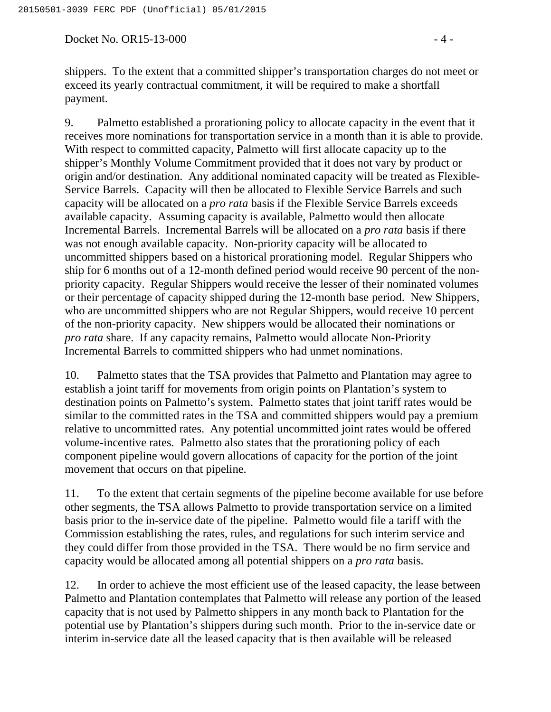Docket No. OR15-13-000 - 4 -

shippers. To the extent that a committed shipper's transportation charges do not meet or exceed its yearly contractual commitment, it will be required to make a shortfall payment.

9. Palmetto established a prorationing policy to allocate capacity in the event that it receives more nominations for transportation service in a month than it is able to provide. With respect to committed capacity, Palmetto will first allocate capacity up to the shipper's Monthly Volume Commitment provided that it does not vary by product or origin and/or destination. Any additional nominated capacity will be treated as Flexible-Service Barrels. Capacity will then be allocated to Flexible Service Barrels and such capacity will be allocated on a *pro rata* basis if the Flexible Service Barrels exceeds available capacity. Assuming capacity is available, Palmetto would then allocate Incremental Barrels. Incremental Barrels will be allocated on a *pro rata* basis if there was not enough available capacity. Non-priority capacity will be allocated to uncommitted shippers based on a historical prorationing model. Regular Shippers who ship for 6 months out of a 12-month defined period would receive 90 percent of the nonpriority capacity. Regular Shippers would receive the lesser of their nominated volumes or their percentage of capacity shipped during the 12-month base period. New Shippers, who are uncommitted shippers who are not Regular Shippers, would receive 10 percent of the non-priority capacity. New shippers would be allocated their nominations or *pro rata* share. If any capacity remains, Palmetto would allocate Non-Priority Incremental Barrels to committed shippers who had unmet nominations.

10. Palmetto states that the TSA provides that Palmetto and Plantation may agree to establish a joint tariff for movements from origin points on Plantation's system to destination points on Palmetto's system. Palmetto states that joint tariff rates would be similar to the committed rates in the TSA and committed shippers would pay a premium relative to uncommitted rates. Any potential uncommitted joint rates would be offered volume-incentive rates. Palmetto also states that the prorationing policy of each component pipeline would govern allocations of capacity for the portion of the joint movement that occurs on that pipeline.

11. To the extent that certain segments of the pipeline become available for use before other segments, the TSA allows Palmetto to provide transportation service on a limited basis prior to the in-service date of the pipeline. Palmetto would file a tariff with the Commission establishing the rates, rules, and regulations for such interim service and they could differ from those provided in the TSA. There would be no firm service and capacity would be allocated among all potential shippers on a *pro rata* basis.

12. In order to achieve the most efficient use of the leased capacity, the lease between Palmetto and Plantation contemplates that Palmetto will release any portion of the leased capacity that is not used by Palmetto shippers in any month back to Plantation for the potential use by Plantation's shippers during such month. Prior to the in-service date or interim in-service date all the leased capacity that is then available will be released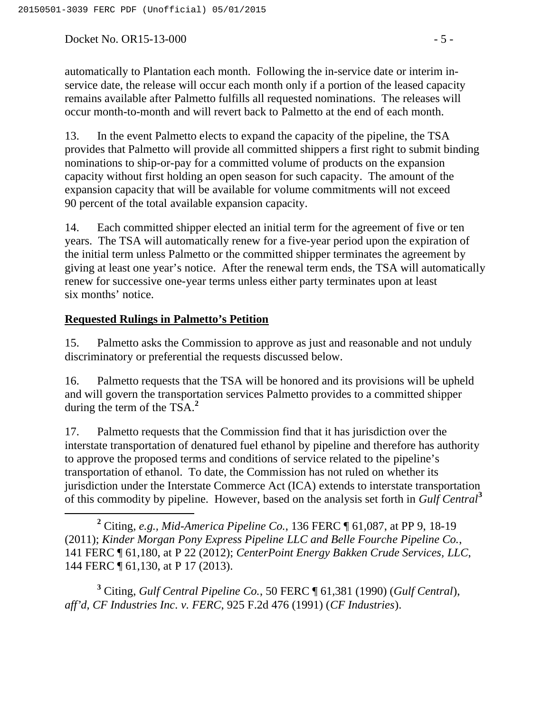Docket No. OR15-13-000 - 5 -

automatically to Plantation each month. Following the in-service date or interim inservice date, the release will occur each month only if a portion of the leased capacity remains available after Palmetto fulfills all requested nominations. The releases will occur month-to-month and will revert back to Palmetto at the end of each month.

13. In the event Palmetto elects to expand the capacity of the pipeline, the TSA provides that Palmetto will provide all committed shippers a first right to submit binding nominations to ship-or-pay for a committed volume of products on the expansion capacity without first holding an open season for such capacity. The amount of the expansion capacity that will be available for volume commitments will not exceed 90 percent of the total available expansion capacity.

14. Each committed shipper elected an initial term for the agreement of five or ten years. The TSA will automatically renew for a five-year period upon the expiration of the initial term unless Palmetto or the committed shipper terminates the agreement by giving at least one year's notice. After the renewal term ends, the TSA will automatically renew for successive one-year terms unless either party terminates upon at least six months' notice.

# **Requested Rulings in Palmetto's Petition**

15. Palmetto asks the Commission to approve as just and reasonable and not unduly discriminatory or preferential the requests discussed below.

16. Palmetto requests that the TSA will be honored and its provisions will be upheld and will govern the transportation services Palmetto provides to a committed shipper during the term of the TSA.**<sup>2</sup>**

17. Palmetto requests that the Commission find that it has jurisdiction over the interstate transportation of denatured fuel ethanol by pipeline and therefore has authority to approve the proposed terms and conditions of service related to the pipeline's transportation of ethanol. To date, the Commission has not ruled on whether its jurisdiction under the Interstate Commerce Act (ICA) extends to interstate transportation of this commodity by pipeline. However, based on the analysis set forth in *Gulf Central***<sup>3</sup>**

**<sup>3</sup>** Citing, *Gulf Central Pipeline Co.*, 50 FERC ¶ 61,381 (1990) (*Gulf Central*), *aff'd, CF Industries Inc. v. FERC*, 925 F.2d 476 (1991) (*CF Industries*).

**<sup>2</sup>** Citing, *e.g., Mid-America Pipeline Co.*, 136 FERC ¶ 61,087, at PP 9, 18-19 (2011); *Kinder Morgan Pony Express Pipeline LLC and Belle Fourche Pipeline Co.*, 141 FERC ¶ 61,180, at P 22 (2012); *CenterPoint Energy Bakken Crude Services, LLC*, 144 FERC ¶ 61,130, at P 17 (2013).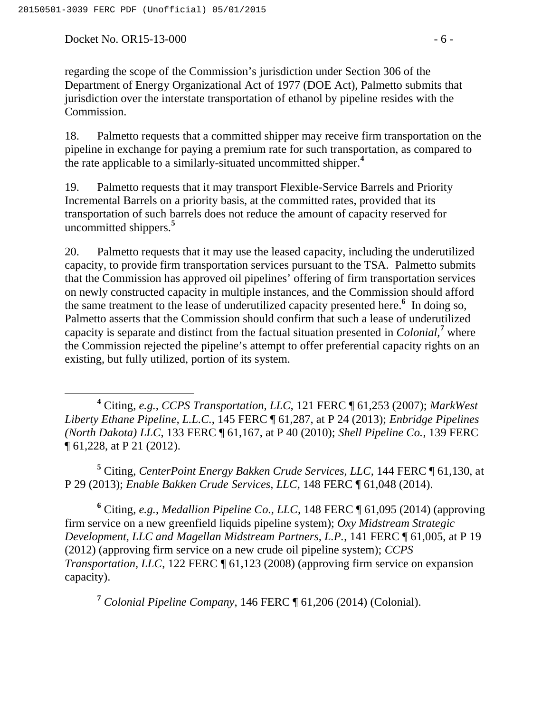Docket No. OR15-13-000 - 6 -

regarding the scope of the Commission's jurisdiction under Section 306 of the Department of Energy Organizational Act of 1977 (DOE Act), Palmetto submits that jurisdiction over the interstate transportation of ethanol by pipeline resides with the Commission.

18. Palmetto requests that a committed shipper may receive firm transportation on the pipeline in exchange for paying a premium rate for such transportation, as compared to the rate applicable to a similarly-situated uncommitted shipper.**<sup>4</sup>**

19. Palmetto requests that it may transport Flexible-Service Barrels and Priority Incremental Barrels on a priority basis, at the committed rates, provided that its transportation of such barrels does not reduce the amount of capacity reserved for uncommitted shippers.**<sup>5</sup>**

20. Palmetto requests that it may use the leased capacity, including the underutilized capacity, to provide firm transportation services pursuant to the TSA. Palmetto submits that the Commission has approved oil pipelines' offering of firm transportation services on newly constructed capacity in multiple instances, and the Commission should afford the same treatment to the lease of underutilized capacity presented here.**<sup>6</sup>** In doing so, Palmetto asserts that the Commission should confirm that such a lease of underutilized capacity is separate and distinct from the factual situation presented in *Colonial,***<sup>7</sup>** where the Commission rejected the pipeline's attempt to offer preferential capacity rights on an existing, but fully utilized, portion of its system.

**<sup>5</sup>** Citing, *CenterPoint Energy Bakken Crude Services, LLC*, 144 FERC ¶ 61,130, at P 29 (2013); *Enable Bakken Crude Services, LLC*, 148 FERC ¶ 61,048 (2014).

**<sup>6</sup>** Citing, *e.g.*, *Medallion Pipeline Co., LLC*, 148 FERC ¶ 61,095 (2014) (approving firm service on a new greenfield liquids pipeline system); *Oxy Midstream Strategic Development, LLC and Magellan Midstream Partners, L.P.*, 141 FERC ¶ 61,005, at P 19 (2012) (approving firm service on a new crude oil pipeline system); *CCPS Transportation, LLC,* 122 FERC  $\P$  61,123 (2008) (approving firm service on expansion capacity).

**<sup>7</sup>** *Colonial Pipeline Company*, 146 FERC ¶ 61,206 (2014) (Colonial).

**<sup>4</sup>** Citing, *e.g., CCPS Transportation, LLC,* 121 FERC ¶ 61,253 (2007); *MarkWest Liberty Ethane Pipeline, L.L.C.*, 145 FERC ¶ 61,287, at P 24 (2013); *Enbridge Pipelines (North Dakota) LLC*, 133 FERC ¶ 61,167, at P 40 (2010); *Shell Pipeline Co.*, 139 FERC ¶ 61,228, at P 21 (2012).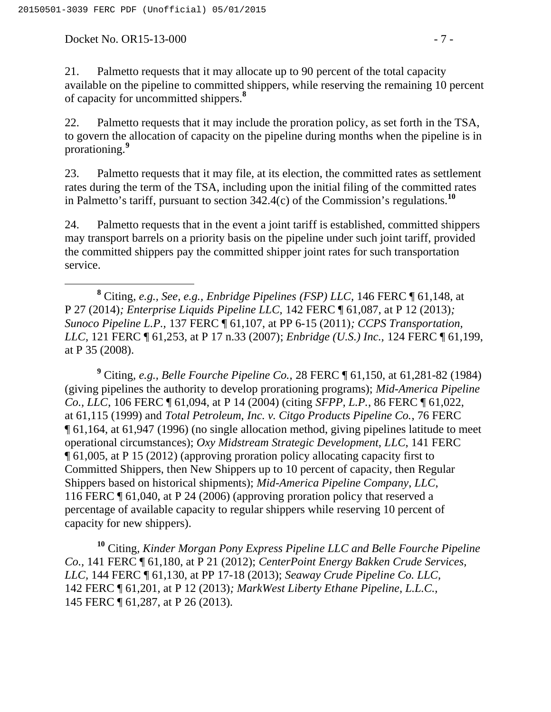Docket No. OR15-13-000 - 7 -

21. Palmetto requests that it may allocate up to 90 percent of the total capacity available on the pipeline to committed shippers, while reserving the remaining 10 percent of capacity for uncommitted shippers.**<sup>8</sup>**

22. Palmetto requests that it may include the proration policy, as set forth in the TSA, to govern the allocation of capacity on the pipeline during months when the pipeline is in prorationing.**<sup>9</sup>**

23. Palmetto requests that it may file, at its election, the committed rates as settlement rates during the term of the TSA, including upon the initial filing of the committed rates in Palmetto's tariff, pursuant to section 342.4(c) of the Commission's regulations.**<sup>10</sup>**

24. Palmetto requests that in the event a joint tariff is established, committed shippers may transport barrels on a priority basis on the pipeline under such joint tariff, provided the committed shippers pay the committed shipper joint rates for such transportation service.

 **<sup>8</sup>** Citing, *e.g., See, e.g., Enbridge Pipelines (FSP) LLC,* 146 FERC ¶ 61,148, at P 27 (2014)*; Enterprise Liquids Pipeline LLC,* 142 FERC ¶ 61,087, at P 12 (2013)*; Sunoco Pipeline L.P.,* 137 FERC ¶ 61,107, at PP 6-15 (2011)*; CCPS Transportation, LLC,* 121 FERC ¶ 61,253, at P 17 n.33 (2007); *Enbridge (U.S.) Inc.,* 124 FERC ¶ 61,199, at P 35 (2008).

**<sup>9</sup>** Citing*, e.g., Belle Fourche Pipeline Co.,* 28 FERC ¶ 61,150, at 61,281-82 (1984) (giving pipelines the authority to develop prorationing programs); *Mid-America Pipeline Co., LLC*, 106 FERC ¶ 61,094, at P 14 (2004) (citing *SFPP, L.P.*, 86 FERC ¶ 61,022, at 61,115 (1999) and *Total Petroleum, Inc. v. Citgo Products Pipeline Co.*, 76 FERC ¶ 61,164, at 61,947 (1996) (no single allocation method, giving pipelines latitude to meet operational circumstances); *Oxy Midstream Strategic Development, LLC*, 141 FERC ¶ 61,005, at P 15 (2012) (approving proration policy allocating capacity first to Committed Shippers, then New Shippers up to 10 percent of capacity, then Regular Shippers based on historical shipments); *Mid-America Pipeline Company*, *LLC*, 116 FERC ¶ 61,040, at P 24 (2006) (approving proration policy that reserved a percentage of available capacity to regular shippers while reserving 10 percent of capacity for new shippers).

**<sup>10</sup>** Citing*, Kinder Morgan Pony Express Pipeline LLC and Belle Fourche Pipeline Co.,* 141 FERC ¶ 61,180, at P 21 (2012); *CenterPoint Energy Bakken Crude Services, LLC,* 144 FERC ¶ 61,130, at PP 17-18 (2013); *Seaway Crude Pipeline Co. LLC,*  142 FERC ¶ 61,201, at P 12 (2013)*; MarkWest Liberty Ethane Pipeline, L.L.C.,*  145 FERC ¶ 61,287, at P 26 (2013)*.*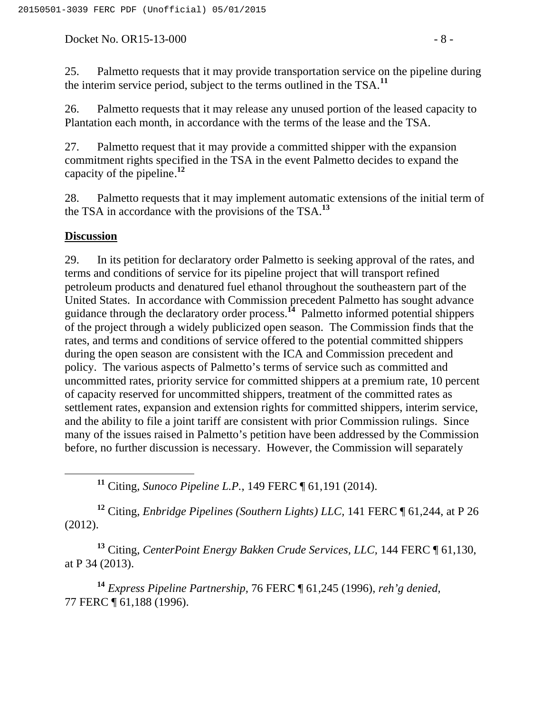Docket No. OR15-13-000 - 8 -

25. Palmetto requests that it may provide transportation service on the pipeline during the interim service period, subject to the terms outlined in the TSA.**<sup>11</sup>**

26. Palmetto requests that it may release any unused portion of the leased capacity to Plantation each month, in accordance with the terms of the lease and the TSA.

27. Palmetto request that it may provide a committed shipper with the expansion commitment rights specified in the TSA in the event Palmetto decides to expand the capacity of the pipeline.**<sup>12</sup>**

28. Palmetto requests that it may implement automatic extensions of the initial term of the TSA in accordance with the provisions of the TSA.**<sup>13</sup>**

## **Discussion**

29. In its petition for declaratory order Palmetto is seeking approval of the rates, and terms and conditions of service for its pipeline project that will transport refined petroleum products and denatured fuel ethanol throughout the southeastern part of the United States. In accordance with Commission precedent Palmetto has sought advance guidance through the declaratory order process.**<sup>14</sup>** Palmetto informed potential shippers of the project through a widely publicized open season. The Commission finds that the rates, and terms and conditions of service offered to the potential committed shippers during the open season are consistent with the ICA and Commission precedent and policy. The various aspects of Palmetto's terms of service such as committed and uncommitted rates, priority service for committed shippers at a premium rate, 10 percent of capacity reserved for uncommitted shippers, treatment of the committed rates as settlement rates, expansion and extension rights for committed shippers, interim service, and the ability to file a joint tariff are consistent with prior Commission rulings. Since many of the issues raised in Palmetto's petition have been addressed by the Commission before, no further discussion is necessary. However, the Commission will separately

**<sup>11</sup>** Citing*, Sunoco Pipeline L.P.*, 149 FERC ¶ 61,191 (2014).

**<sup>12</sup>** Citing*, Enbridge Pipelines (Southern Lights) LLC,* 141 FERC ¶ 61,244, at P 26 (2012).

**<sup>13</sup>** Citing*, CenterPoint Energy Bakken Crude Services, LLC,* 144 FERC ¶ 61,130, at P 34 (2013).

**<sup>14</sup>** *Express Pipeline Partnership,* 76 FERC ¶ 61,245 (1996), *reh'g denied,* 77 FERC ¶ 61,188 (1996).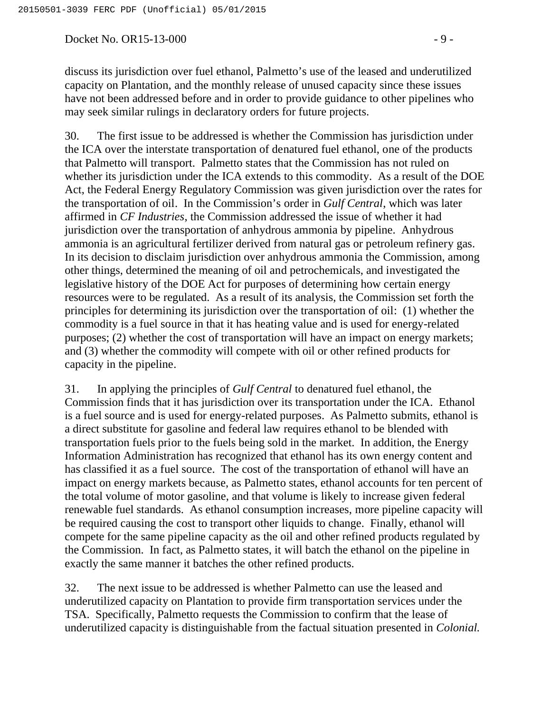Docket No. OR15-13-000 - 9 -

discuss its jurisdiction over fuel ethanol, Palmetto's use of the leased and underutilized capacity on Plantation, and the monthly release of unused capacity since these issues have not been addressed before and in order to provide guidance to other pipelines who may seek similar rulings in declaratory orders for future projects.

30. The first issue to be addressed is whether the Commission has jurisdiction under the ICA over the interstate transportation of denatured fuel ethanol, one of the products that Palmetto will transport. Palmetto states that the Commission has not ruled on whether its jurisdiction under the ICA extends to this commodity. As a result of the DOE Act, the Federal Energy Regulatory Commission was given jurisdiction over the rates for the transportation of oil. In the Commission's order in *Gulf Central*, which was later affirmed in *CF Industries*, the Commission addressed the issue of whether it had jurisdiction over the transportation of anhydrous ammonia by pipeline. Anhydrous ammonia is an agricultural fertilizer derived from natural gas or petroleum refinery gas. In its decision to disclaim jurisdiction over anhydrous ammonia the Commission, among other things, determined the meaning of oil and petrochemicals, and investigated the legislative history of the DOE Act for purposes of determining how certain energy resources were to be regulated. As a result of its analysis, the Commission set forth the principles for determining its jurisdiction over the transportation of oil: (1) whether the commodity is a fuel source in that it has heating value and is used for energy-related purposes; (2) whether the cost of transportation will have an impact on energy markets; and (3) whether the commodity will compete with oil or other refined products for capacity in the pipeline.

31. In applying the principles of *Gulf Central* to denatured fuel ethanol, the Commission finds that it has jurisdiction over its transportation under the ICA. Ethanol is a fuel source and is used for energy-related purposes. As Palmetto submits, ethanol is a direct substitute for gasoline and federal law requires ethanol to be blended with transportation fuels prior to the fuels being sold in the market. In addition, the Energy Information Administration has recognized that ethanol has its own energy content and has classified it as a fuel source. The cost of the transportation of ethanol will have an impact on energy markets because, as Palmetto states, ethanol accounts for ten percent of the total volume of motor gasoline, and that volume is likely to increase given federal renewable fuel standards. As ethanol consumption increases, more pipeline capacity will be required causing the cost to transport other liquids to change. Finally, ethanol will compete for the same pipeline capacity as the oil and other refined products regulated by the Commission. In fact, as Palmetto states, it will batch the ethanol on the pipeline in exactly the same manner it batches the other refined products.

32. The next issue to be addressed is whether Palmetto can use the leased and underutilized capacity on Plantation to provide firm transportation services under the TSA. Specifically, Palmetto requests the Commission to confirm that the lease of underutilized capacity is distinguishable from the factual situation presented in *Colonial.*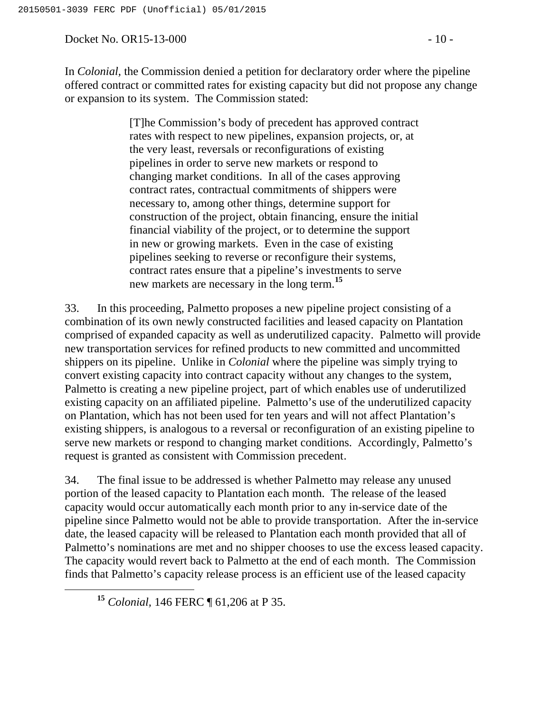Docket No. OR15-13-000 - 10 -

In *Colonial,* the Commission denied a petition for declaratory order where the pipeline offered contract or committed rates for existing capacity but did not propose any change or expansion to its system. The Commission stated:

> [T]he Commission's body of precedent has approved contract rates with respect to new pipelines, expansion projects, or, at the very least, reversals or reconfigurations of existing pipelines in order to serve new markets or respond to changing market conditions. In all of the cases approving contract rates, contractual commitments of shippers were necessary to, among other things, determine support for construction of the project, obtain financing, ensure the initial financial viability of the project, or to determine the support in new or growing markets. Even in the case of existing pipelines seeking to reverse or reconfigure their systems, contract rates ensure that a pipeline's investments to serve new markets are necessary in the long term.**<sup>15</sup>**

33. In this proceeding, Palmetto proposes a new pipeline project consisting of a combination of its own newly constructed facilities and leased capacity on Plantation comprised of expanded capacity as well as underutilized capacity. Palmetto will provide new transportation services for refined products to new committed and uncommitted shippers on its pipeline. Unlike in *Colonial* where the pipeline was simply trying to convert existing capacity into contract capacity without any changes to the system, Palmetto is creating a new pipeline project, part of which enables use of underutilized existing capacity on an affiliated pipeline. Palmetto's use of the underutilized capacity on Plantation, which has not been used for ten years and will not affect Plantation's existing shippers, is analogous to a reversal or reconfiguration of an existing pipeline to serve new markets or respond to changing market conditions. Accordingly, Palmetto's request is granted as consistent with Commission precedent.

34. The final issue to be addressed is whether Palmetto may release any unused portion of the leased capacity to Plantation each month. The release of the leased capacity would occur automatically each month prior to any in-service date of the pipeline since Palmetto would not be able to provide transportation. After the in-service date, the leased capacity will be released to Plantation each month provided that all of Palmetto's nominations are met and no shipper chooses to use the excess leased capacity. The capacity would revert back to Palmetto at the end of each month. The Commission finds that Palmetto's capacity release process is an efficient use of the leased capacity

**<sup>15</sup>** *Colonial,* 146 FERC ¶ 61,206 at P 35.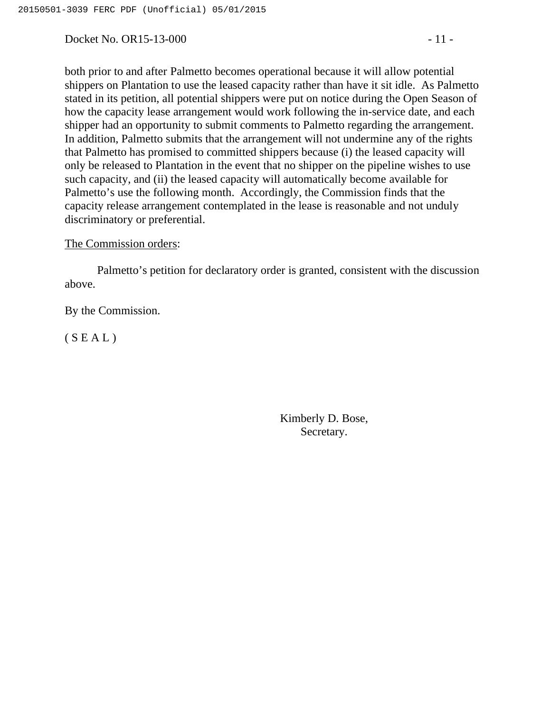Docket No. OR15-13-000 - 11 -

both prior to and after Palmetto becomes operational because it will allow potential shippers on Plantation to use the leased capacity rather than have it sit idle. As Palmetto stated in its petition, all potential shippers were put on notice during the Open Season of how the capacity lease arrangement would work following the in-service date, and each shipper had an opportunity to submit comments to Palmetto regarding the arrangement. In addition, Palmetto submits that the arrangement will not undermine any of the rights that Palmetto has promised to committed shippers because (i) the leased capacity will only be released to Plantation in the event that no shipper on the pipeline wishes to use such capacity, and (ii) the leased capacity will automatically become available for Palmetto's use the following month. Accordingly, the Commission finds that the capacity release arrangement contemplated in the lease is reasonable and not unduly discriminatory or preferential.

### The Commission orders:

Palmetto's petition for declaratory order is granted, consistent with the discussion above.

By the Commission.

 $(S E A L)$ 

Kimberly D. Bose, Secretary.